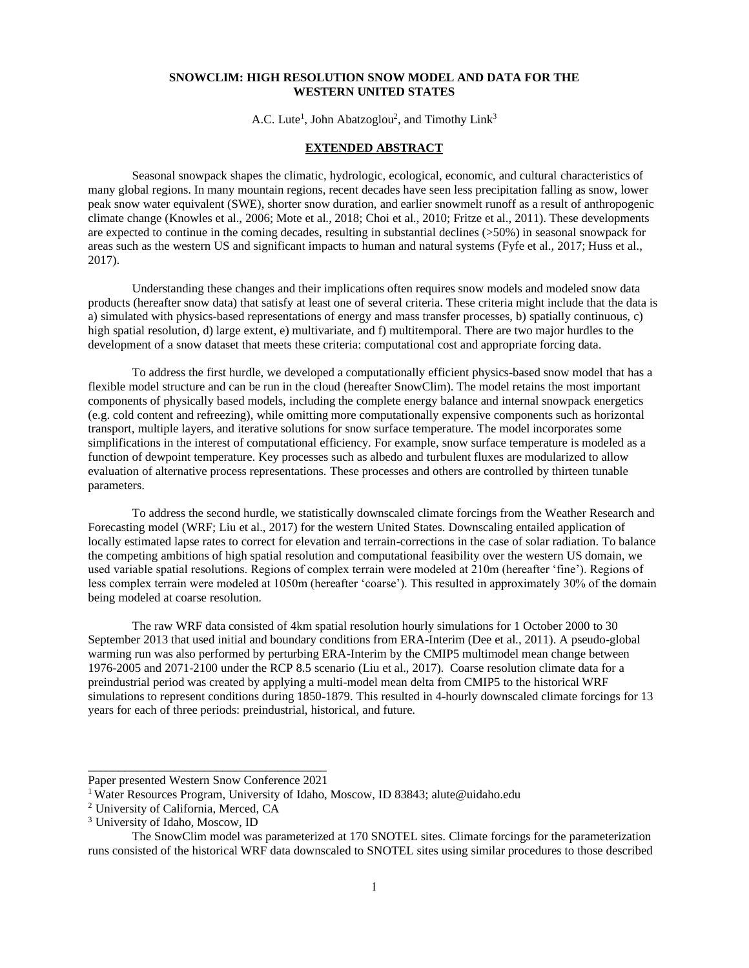## **SNOWCLIM: HIGH RESOLUTION SNOW MODEL AND DATA FOR THE WESTERN UNITED STATES**

A.C. Lute<sup>1</sup>, John Abatzoglou<sup>2</sup>, and Timothy Link<sup>3</sup>

## **EXTENDED ABSTRACT**

Seasonal snowpack shapes the climatic, hydrologic, ecological, economic, and cultural characteristics of many global regions. In many mountain regions, recent decades have seen less precipitation falling as snow, lower peak snow water equivalent (SWE), shorter snow duration, and earlier snowmelt runoff as a result of anthropogenic climate change (Knowles et al., 2006; Mote et al., 2018; Choi et al., 2010; Fritze et al., 2011). These developments are expected to continue in the coming decades, resulting in substantial declines (>50%) in seasonal snowpack for areas such as the western US and significant impacts to human and natural systems [\(Fyfe et al., 2017;](https://www.nature.com/articles/ncomms14996) [Huss et al.,](https://agupubs.onlinelibrary.wiley.com/doi/full/10.1002/2016EF000514)  [2017\)](https://agupubs.onlinelibrary.wiley.com/doi/full/10.1002/2016EF000514).

Understanding these changes and their implications often requires snow models and modeled snow data products (hereafter snow data) that satisfy at least one of several criteria. These criteria might include that the data is a) simulated with physics-based representations of energy and mass transfer processes, b) spatially continuous, c) high spatial resolution, d) large extent, e) multivariate, and f) multitemporal. There are two major hurdles to the development of a snow dataset that meets these criteria: computational cost and appropriate forcing data.

To address the first hurdle, we developed a computationally efficient physics-based snow model that has a flexible model structure and can be run in the cloud (hereafter SnowClim). The model retains the most important components of physically based models, including the complete energy balance and internal snowpack energetics (e.g. cold content and refreezing), while omitting more computationally expensive components such as horizontal transport, multiple layers, and iterative solutions for snow surface temperature. The model incorporates some simplifications in the interest of computational efficiency. For example, snow surface temperature is modeled as a function of dewpoint temperature. Key processes such as albedo and turbulent fluxes are modularized to allow evaluation of alternative process representations. These processes and others are controlled by thirteen tunable parameters.

To address the second hurdle, we statistically downscaled climate forcings from the Weather Research and Forecasting model (WRF; Liu et al., 2017) for the western United States. Downscaling entailed application of locally estimated lapse rates to correct for elevation and terrain-corrections in the case of solar radiation. To balance the competing ambitions of high spatial resolution and computational feasibility over the western US domain, we used variable spatial resolutions. Regions of complex terrain were modeled at 210m (hereafter 'fine'). Regions of less complex terrain were modeled at 1050m (hereafter 'coarse'). This resulted in approximately 30% of the domain being modeled at coarse resolution.

The raw WRF data consisted of 4km spatial resolution hourly simulations for 1 October 2000 to 30 September 2013 that used initial and boundary conditions from ERA-Interim (Dee et al., 2011). A pseudo-global warming run was also performed by perturbing ERA-Interim by the CMIP5 multimodel mean change between 1976-2005 and 2071-2100 under the RCP 8.5 scenario (Liu et al., 2017). Coarse resolution climate data for a preindustrial period was created by applying a multi-model mean delta from CMIP5 to the historical WRF simulations to represent conditions during 1850-1879. This resulted in 4-hourly downscaled climate forcings for 13 years for each of three periods: preindustrial, historical, and future.

\_\_\_\_\_\_\_\_\_\_\_\_\_\_\_\_\_\_\_\_\_\_\_\_\_\_\_\_\_\_\_\_\_\_\_\_\_\_\_ Paper presented Western Snow Conference 2021

<sup>&</sup>lt;sup>1</sup> Water Resources Program, University of Idaho, Moscow, ID 83843; alute@uidaho.edu

<sup>2</sup> University of California, Merced, CA

<sup>3</sup> University of Idaho, Moscow, ID

The SnowClim model was parameterized at 170 SNOTEL sites. Climate forcings for the parameterization runs consisted of the historical WRF data downscaled to SNOTEL sites using similar procedures to those described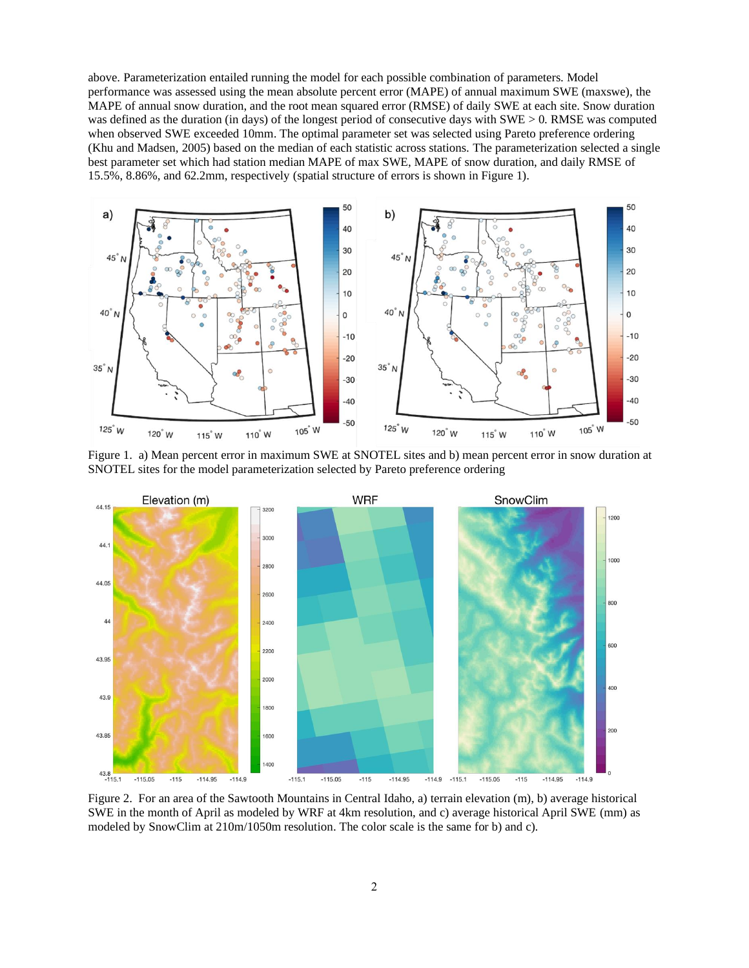above. Parameterization entailed running the model for each possible combination of parameters. Model performance was assessed using the mean absolute percent error (MAPE) of annual maximum SWE (maxswe), the MAPE of annual snow duration, and the root mean squared error (RMSE) of daily SWE at each site. Snow duration was defined as the duration (in days) of the longest period of consecutive days with SWE > 0. RMSE was computed when observed SWE exceeded 10mm. The optimal parameter set was selected using Pareto preference ordering (Khu and Madsen, 2005) based on the median of each statistic across stations. The parameterization selected a single best parameter set which had station median MAPE of max SWE, MAPE of snow duration, and daily RMSE of 15.5%, 8.86%, and 62.2mm, respectively (spatial structure of errors is shown in Figure 1).



Figure 1. a) Mean percent error in maximum SWE at SNOTEL sites and b) mean percent error in snow duration at SNOTEL sites for the model parameterization selected by Pareto preference ordering



Figure 2. For an area of the Sawtooth Mountains in Central Idaho, a) terrain elevation (m), b) average historical SWE in the month of April as modeled by WRF at 4km resolution, and c) average historical April SWE (mm) as modeled by SnowClim at 210m/1050m resolution. The color scale is the same for b) and c).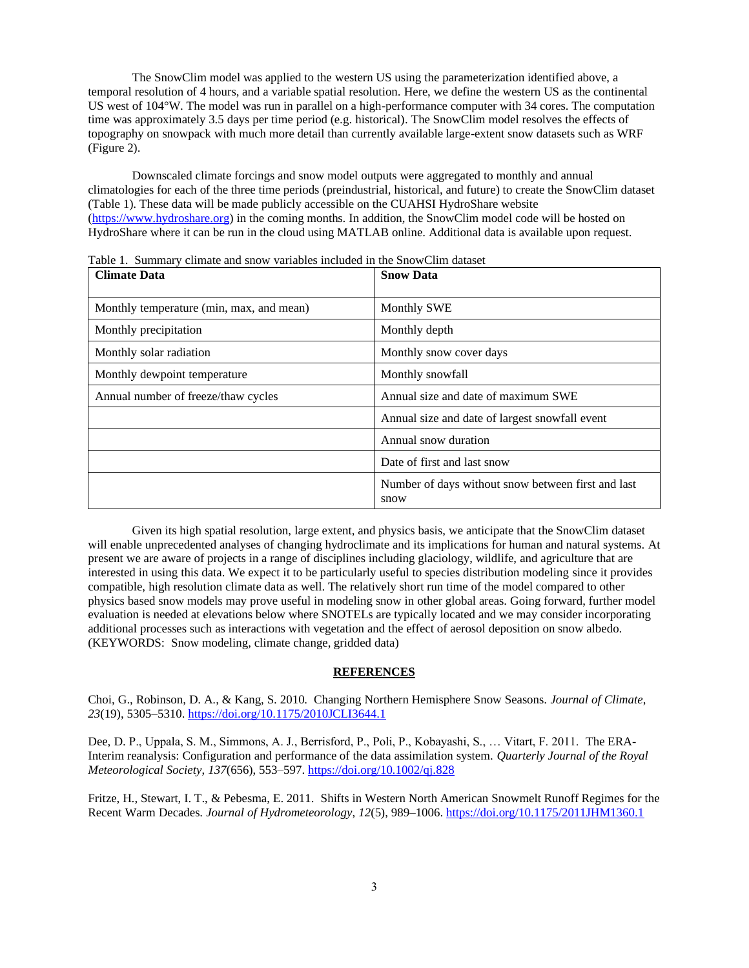The SnowClim model was applied to the western US using the parameterization identified above, a temporal resolution of 4 hours, and a variable spatial resolution. Here, we define the western US as the continental US west of 104°W. The model was run in parallel on a high-performance computer with 34 cores. The computation time was approximately 3.5 days per time period (e.g. historical). The SnowClim model resolves the effects of topography on snowpack with much more detail than currently available large-extent snow datasets such as WRF (Figure 2).

Downscaled climate forcings and snow model outputs were aggregated to monthly and annual climatologies for each of the three time periods (preindustrial, historical, and future) to create the SnowClim dataset (Table 1). These data will be made publicly accessible on the CUAHSI HydroShare website [\(https://www.hydroshare.org\)](https://www.hydroshare.org/) in the coming months. In addition, the SnowClim model code will be hosted on HydroShare where it can be run in the cloud using MATLAB online. Additional data is available upon request.

| <b>Climate Data</b>                      | <b>Snow Data</b>                                           |
|------------------------------------------|------------------------------------------------------------|
| Monthly temperature (min, max, and mean) | <b>Monthly SWE</b>                                         |
| Monthly precipitation                    | Monthly depth                                              |
| Monthly solar radiation                  | Monthly snow cover days                                    |
| Monthly dewpoint temperature             | Monthly snowfall                                           |
| Annual number of freeze/thaw cycles      | Annual size and date of maximum SWE                        |
|                                          | Annual size and date of largest snowfall event             |
|                                          | Annual snow duration                                       |
|                                          | Date of first and last snow                                |
|                                          | Number of days without snow between first and last<br>snow |

Table 1. Summary climate and snow variables included in the SnowClim dataset

Given its high spatial resolution, large extent, and physics basis, we anticipate that the SnowClim dataset will enable unprecedented analyses of changing hydroclimate and its implications for human and natural systems. At present we are aware of projects in a range of disciplines including glaciology, wildlife, and agriculture that are interested in using this data. We expect it to be particularly useful to species distribution modeling since it provides compatible, high resolution climate data as well. The relatively short run time of the model compared to other physics based snow models may prove useful in modeling snow in other global areas. Going forward, further model evaluation is needed at elevations below where SNOTELs are typically located and we may consider incorporating additional processes such as interactions with vegetation and the effect of aerosol deposition on snow albedo. (KEYWORDS: Snow modeling, climate change, gridded data)

## **REFERENCES**

Choi, G., Robinson, D. A., & Kang, S. 2010. Changing Northern Hemisphere Snow Seasons. *Journal of Climate*, *23*(19), 5305–5310[. https://doi.org/10.1175/2010JCLI3644.1](https://doi.org/10.1175/2010JCLI3644.1)

Dee, D. P., Uppala, S. M., Simmons, A. J., Berrisford, P., Poli, P., Kobayashi, S., … Vitart, F. 2011. The ERA-Interim reanalysis: Configuration and performance of the data assimilation system. *Quarterly Journal of the Royal Meteorological Society*, *137*(656), 553–597[. https://doi.org/10.1002/qj.828](https://doi.org/10.1002/qj.828)

Fritze, H., Stewart, I. T., & Pebesma, E. 2011. Shifts in Western North American Snowmelt Runoff Regimes for the Recent Warm Decades. *Journal of Hydrometeorology*, *12*(5), 989–1006[. https://doi.org/10.1175/2011JHM1360.1](https://doi.org/10.1175/2011JHM1360.1)